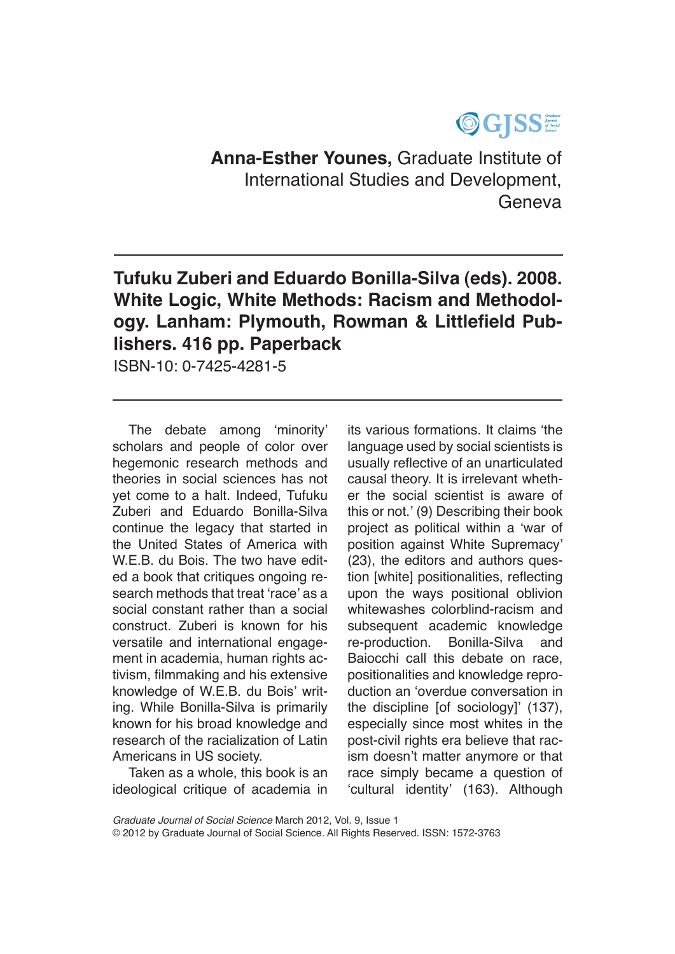## OGJSSE

**Anna-Esther Younes,** Graduate Institute of International Studies and Development, Geneva

**Tufuku Zuberi and Eduardo Bonilla-Silva (eds). 2008. White Logic, White Methods: Racism and Methodology. Lanham: Plymouth, Rowman & Littlefield Publishers. 416 pp. Paperback**

ISBN-10: 0-7425-4281-5

The debate among 'minority' scholars and people of color over hegemonic research methods and theories in social sciences has not yet come to a halt. Indeed, Tufuku Zuberi and Eduardo Bonilla-Silva continue the legacy that started in the United States of America with W.E.B. du Bois. The two have edited a book that critiques ongoing research methods that treat 'race' as a social constant rather than a social construct. Zuberi is known for his versatile and international engagement in academia, human rights activism, filmmaking and his extensive knowledge of W.E.B. du Bois' writing. While Bonilla-Silva is primarily known for his broad knowledge and research of the racialization of Latin Americans in US society.

Taken as a whole, this book is an ideological critique of academia in

its various formations. It claims 'the language used by social scientists is usually reflective of an unarticulated causal theory. It is irrelevant whether the social scientist is aware of this or not.' (9) Describing their book project as political within a 'war of position against White Supremacy' (23), the editors and authors question [white] positionalities, reflecting upon the ways positional oblivion whitewashes colorblind-racism and subsequent academic knowledge re-production. Bonilla-Silva and Baiocchi call this debate on race, positionalities and knowledge reproduction an 'overdue conversation in the discipline [of sociology]' (137), especially since most whites in the post-civil rights era believe that racism doesn't matter anymore or that race simply became a question of 'cultural identity' (163). Although

*Graduate Journal of Social Science* March 2012, Vol. 9, Issue 1

© 2012 by Graduate Journal of Social Science. All Rights Reserved. ISSN: 1572-3763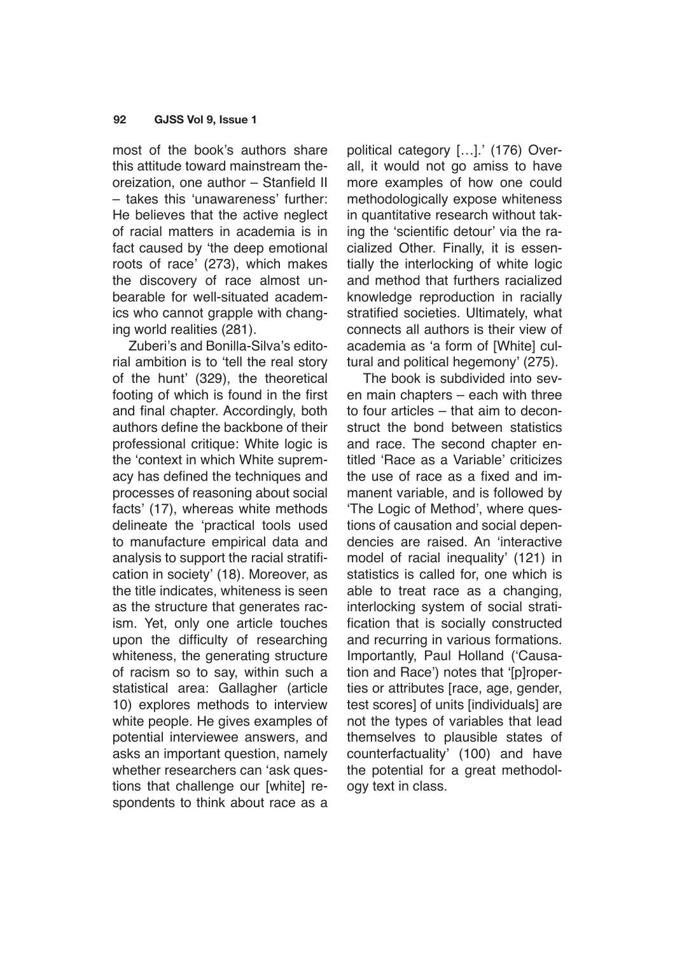## **92 GJSS Vol 9, Issue 1**

most of the book's authors share this attitude toward mainstream theoreization, one author – Stanfield II – takes this 'unawareness' further: He believes that the active neglect of racial matters in academia is in fact caused by 'the deep emotional roots of race' (273), which makes the discovery of race almost unbearable for well-situated academics who cannot grapple with changing world realities (281).

Zuberi's and Bonilla-Silva's editorial ambition is to 'tell the real story of the hunt' (329), the theoretical footing of which is found in the first and final chapter. Accordingly, both authors define the backbone of their professional critique: White logic is the 'context in which White supremacy has defined the techniques and processes of reasoning about social facts' (17), whereas white methods delineate the 'practical tools used to manufacture empirical data and analysis to support the racial stratification in society' (18). Moreover, as the title indicates, whiteness is seen as the structure that generates racism. Yet, only one article touches upon the difficulty of researching whiteness, the generating structure of racism so to say, within such a statistical area: Gallagher (article 10) explores methods to interview white people. He gives examples of potential interviewee answers, and asks an important question, namely whether researchers can 'ask questions that challenge our [white] respondents to think about race as a political category […].' (176) Overall, it would not go amiss to have more examples of how one could methodologically expose whiteness in quantitative research without taking the 'scientific detour' via the racialized Other. Finally, it is essentially the interlocking of white logic and method that furthers racialized knowledge reproduction in racially stratified societies. Ultimately, what connects all authors is their view of academia as 'a form of [White] cultural and political hegemony' (275).

The book is subdivided into seven main chapters – each with three to four articles – that aim to deconstruct the bond between statistics and race. The second chapter entitled 'Race as a Variable' criticizes the use of race as a fixed and immanent variable, and is followed by 'The Logic of Method', where questions of causation and social dependencies are raised. An 'interactive model of racial inequality' (121) in statistics is called for, one which is able to treat race as a changing, interlocking system of social stratification that is socially constructed and recurring in various formations. Importantly, Paul Holland ('Causation and Race') notes that '[p]roperties or attributes [race, age, gender, test scores] of units [individuals] are not the types of variables that lead themselves to plausible states of counterfactuality' (100) and have the potential for a great methodology text in class.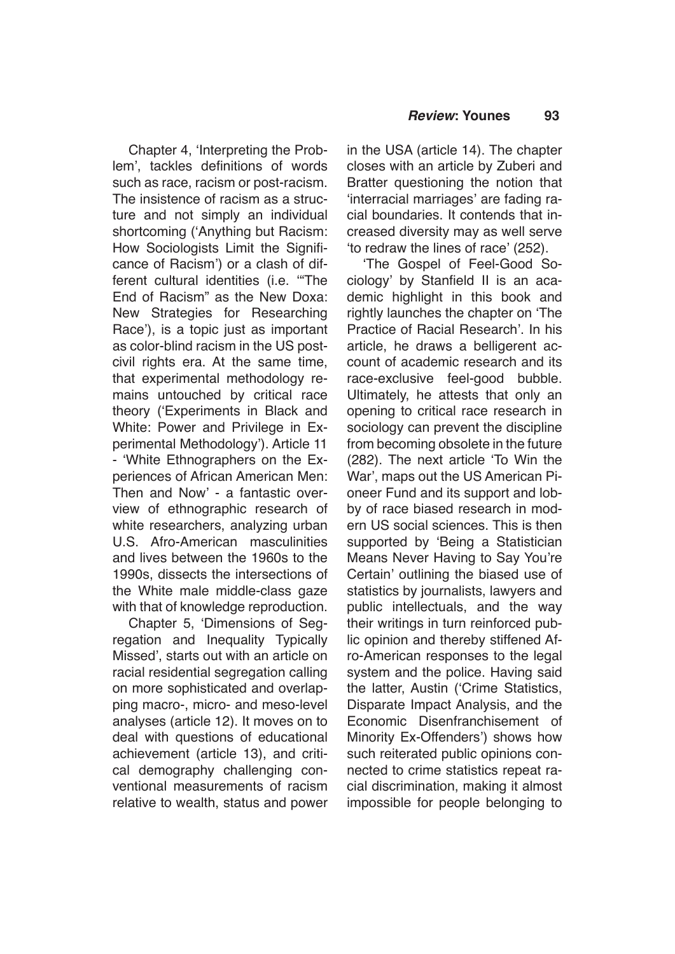Chapter 4, 'Interpreting the Problem', tackles definitions of words such as race, racism or post-racism. The insistence of racism as a structure and not simply an individual shortcoming ('Anything but Racism: How Sociologists Limit the Significance of Racism') or a clash of different cultural identities (i.e. '"The End of Racism" as the New Doxa: New Strategies for Researching Race'), is a topic just as important as color-blind racism in the US postcivil rights era. At the same time, that experimental methodology remains untouched by critical race theory ('Experiments in Black and White: Power and Privilege in Experimental Methodology'). Article 11 - 'White Ethnographers on the Experiences of African American Men: Then and Now' - a fantastic overview of ethnographic research of white researchers, analyzing urban U.S. Afro-American masculinities and lives between the 1960s to the 1990s, dissects the intersections of the White male middle-class gaze with that of knowledge reproduction.

Chapter 5, 'Dimensions of Segregation and Inequality Typically Missed', starts out with an article on racial residential segregation calling on more sophisticated and overlapping macro-, micro- and meso-level analyses (article 12). It moves on to deal with questions of educational achievement (article 13), and critical demography challenging conventional measurements of racism relative to wealth, status and power in the USA (article 14). The chapter closes with an article by Zuberi and Bratter questioning the notion that 'interracial marriages' are fading racial boundaries. It contends that increased diversity may as well serve 'to redraw the lines of race' (252).

'The Gospel of Feel-Good Sociology' by Stanfield II is an academic highlight in this book and rightly launches the chapter on 'The Practice of Racial Research'. In his article, he draws a belligerent account of academic research and its race-exclusive feel-good bubble. Ultimately, he attests that only an opening to critical race research in sociology can prevent the discipline from becoming obsolete in the future (282). The next article 'To Win the War', maps out the US American Pioneer Fund and its support and lobby of race biased research in modern US social sciences. This is then supported by 'Being a Statistician Means Never Having to Say You're Certain' outlining the biased use of statistics by journalists, lawyers and public intellectuals, and the way their writings in turn reinforced public opinion and thereby stiffened Afro-American responses to the legal system and the police. Having said the latter, Austin ('Crime Statistics, Disparate Impact Analysis, and the Economic Disenfranchisement of Minority Ex-Offenders') shows how such reiterated public opinions connected to crime statistics repeat racial discrimination, making it almost impossible for people belonging to